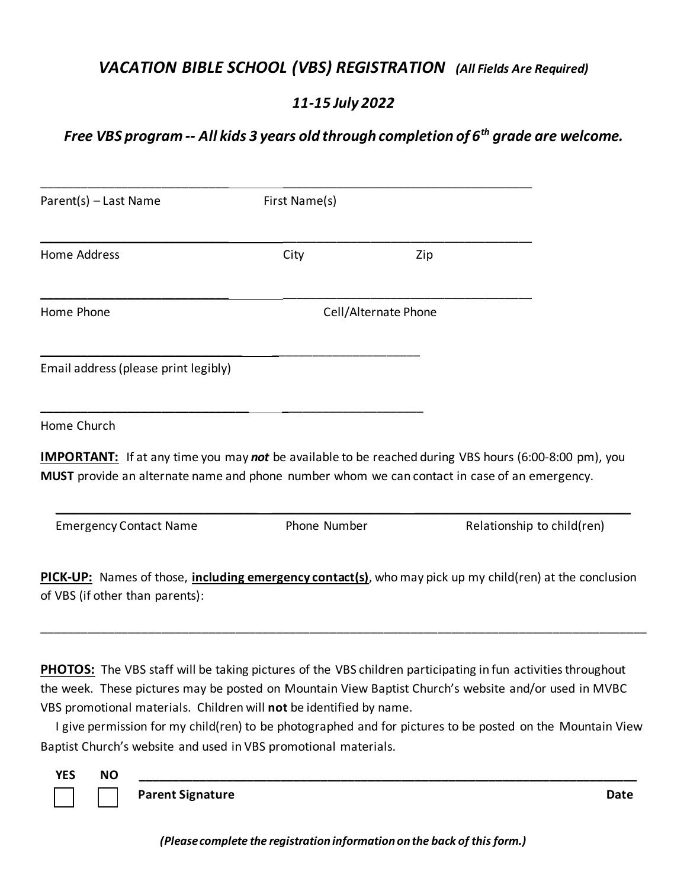## *VACATION BIBLE SCHOOL (VBS) REGISTRATION (All Fields Are Required)*

### *11-15 July 2022*

# *Free VBS program -- All kids 3 years old through completion of 6th grade are welcome.*

| Parent(s) - Last Name                | First Name(s)        |                                                                                                                                                                                                              |  |  |
|--------------------------------------|----------------------|--------------------------------------------------------------------------------------------------------------------------------------------------------------------------------------------------------------|--|--|
| <b>Home Address</b>                  | City                 | Zip                                                                                                                                                                                                          |  |  |
| Home Phone                           | Cell/Alternate Phone |                                                                                                                                                                                                              |  |  |
| Email address (please print legibly) |                      |                                                                                                                                                                                                              |  |  |
|                                      |                      |                                                                                                                                                                                                              |  |  |
|                                      |                      |                                                                                                                                                                                                              |  |  |
| Home Church                          |                      | <b>IMPORTANT:</b> If at any time you may not be available to be reached during VBS hours (6:00-8:00 pm), you<br>MUST provide an alternate name and phone number whom we can contact in case of an emergency. |  |  |

**PHOTOS:** The VBS staff will be taking pictures of the VBS children participating in fun activities throughout the week. These pictures may be posted on Mountain View Baptist Church's website and/or used in MVBC VBS promotional materials. Children will **not** be identified by name.

\_\_\_\_\_\_\_\_\_\_\_\_\_\_\_\_\_\_\_\_\_\_\_\_\_\_\_\_\_\_\_\_\_\_\_\_\_\_\_\_\_\_\_\_\_\_\_\_\_\_\_\_\_\_\_\_\_\_\_\_\_\_\_\_\_\_\_\_\_\_\_\_\_\_\_\_\_\_\_\_\_\_\_\_\_\_\_\_\_\_

 I give permission for my child(ren) to be photographed and for pictures to be posted on the Mountain View Baptist Church's website and used in VBS promotional materials.

 **YES NO \_\_\_\_\_\_\_\_\_\_\_\_\_\_\_\_\_\_\_\_\_\_\_\_\_\_\_\_\_\_\_\_\_\_\_\_\_\_\_\_\_\_\_\_\_\_\_\_\_\_\_\_\_\_\_\_\_\_\_\_\_\_\_\_\_\_\_\_\_\_\_\_\_\_**

**Parent Signature Date**